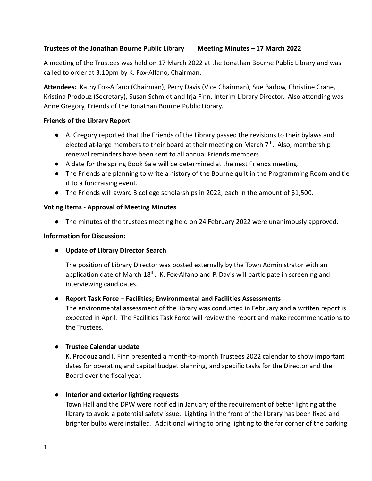### **Trustees of the Jonathan Bourne Public Library Meeting Minutes – 17 March 2022**

A meeting of the Trustees was held on 17 March 2022 at the Jonathan Bourne Public Library and was called to order at 3:10pm by K. Fox-Alfano, Chairman.

**Attendees:** Kathy Fox-Alfano (Chairman), Perry Davis (Vice Chairman), Sue Barlow, Christine Crane, Kristina Prodouz (Secretary), Susan Schmidt and Irja Finn, Interim Library Director. Also attending was Anne Gregory, Friends of the Jonathan Bourne Public Library.

### **Friends of the Library Report**

- **●** A. Gregory reported that the Friends of the Library passed the revisions to their bylaws and elected at-large members to their board at their meeting on March 7<sup>th</sup>. Also, membership renewal reminders have been sent to all annual Friends members.
- **●** A date for the spring Book Sale will be determined at the next Friends meeting.
- **●** The Friends are planning to write a history of the Bourne quilt in the Programming Room and tie it to a fundraising event.
- **●** The Friends will award 3 college scholarships in 2022, each in the amount of \$1,500.

### **Voting Items - Approval of Meeting Minutes**

**●** The minutes of the trustees meeting held on 24 February 2022 were unanimously approved.

### **Information for Discussion:**

● **Update of Library Director Search**

The position of Library Director was posted externally by the Town Administrator with an application date of March  $18<sup>th</sup>$ . K. Fox-Alfano and P. Davis will participate in screening and interviewing candidates.

# **● Report Task Force – Facilities; Environmental and Facilities Assessments**

The environmental assessment of the library was conducted in February and a written report is expected in April. The Facilities Task Force will review the report and make recommendations to the Trustees.

# **● Trustee Calendar update**

K. Prodouz and I. Finn presented a month-to-month Trustees 2022 calendar to show important dates for operating and capital budget planning, and specific tasks for the Director and the Board over the fiscal year.

# **● Interior and exterior lighting requests**

Town Hall and the DPW were notified in January of the requirement of better lighting at the library to avoid a potential safety issue. Lighting in the front of the library has been fixed and brighter bulbs were installed. Additional wiring to bring lighting to the far corner of the parking